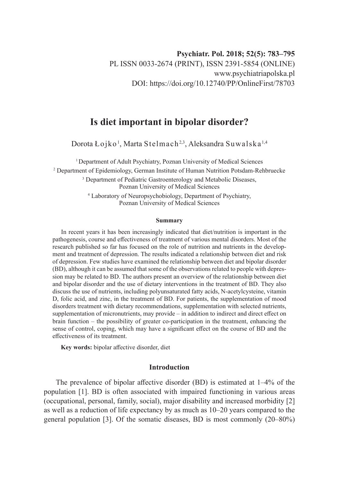# **Is diet important in bipolar disorder?**

Dorota Łojko<sup>1</sup>, Marta Stelmach<sup>2,3</sup>, Aleksandra Suwalska<sup>1,4</sup>

<sup>1</sup> Department of Adult Psychiatry, Poznan University of Medical Sciences 2 Department of Epidemiology, German Institute of Human Nutrition Potsdam-Rehbruecke <sup>3</sup> Department of Pediatric Gastroenterology and Metabolic Diseases, Poznan University of Medical Sciences

> 4 Laboratory of Neuropsychobiology, Department of Psychiatry, Poznan University of Medical Sciences

#### **Summary**

In recent years it has been increasingly indicated that diet/nutrition is important in the pathogenesis, course and effectiveness of treatment of various mental disorders. Most of the research published so far has focused on the role of nutrition and nutrients in the development and treatment of depression. The results indicated a relationship between diet and risk of depression. Few studies have examined the relationship between diet and bipolar disorder (BD), although it can be assumed that some of the observations related to people with depression may be related to BD. The authors present an overview of the relationship between diet and bipolar disorder and the use of dietary interventions in the treatment of BD. They also discuss the use of nutrients, including polyunsaturated fatty acids, N-acetylcysteine, vitamin D, folic acid, and zinc, in the treatment of BD. For patients, the supplementation of mood disorders treatment with dietary recommendations, supplementation with selected nutrients, supplementation of micronutrients, may provide – in addition to indirect and direct effect on brain function – the possibility of greater co-participation in the treatment, enhancing the sense of control, coping, which may have a significant effect on the course of BD and the effectiveness of its treatment.

**Key words:** bipolar affective disorder, diet

## **Introduction**

The prevalence of bipolar affective disorder (BD) is estimated at 1–4% of the population [1]. BD is often associated with impaired functioning in various areas (occupational, personal, family, social), major disability and increased morbidity [2] as well as a reduction of life expectancy by as much as 10–20 years compared to the general population [3]. Of the somatic diseases, BD is most commonly (20–80%)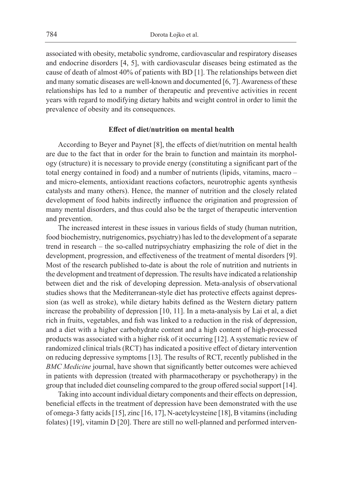associated with obesity, metabolic syndrome, cardiovascular and respiratory diseases and endocrine disorders [4, 5], with cardiovascular diseases being estimated as the cause of death of almost 40% of patients with BD [1]. The relationships between diet and many somatic diseases are well-known and documented [6, 7]. Awareness of these relationships has led to a number of therapeutic and preventive activities in recent years with regard to modifying dietary habits and weight control in order to limit the prevalence of obesity and its consequences.

## **Effect of diet/nutrition on mental health**

According to Beyer and Paynet [8], the effects of diet/nutrition on mental health are due to the fact that in order for the brain to function and maintain its morphology (structure) it is necessary to provide energy (constituting a significant part of the total energy contained in food) and a number of nutrients (lipids, vitamins, macro – and micro-elements, antioxidant reactions cofactors, neurotrophic agents synthesis catalysts and many others). Hence, the manner of nutrition and the closely related development of food habits indirectly influence the origination and progression of many mental disorders, and thus could also be the target of therapeutic intervention and prevention.

The increased interest in these issues in various fields of study (human nutrition, food biochemistry, nutrigenomics, psychiatry) has led to the development of a separate trend in research – the so-called nutripsychiatry emphasizing the role of diet in the development, progression, and effectiveness of the treatment of mental disorders [9]. Most of the research published to-date is about the role of nutrition and nutrients in the development and treatment of depression. The results have indicated a relationship between diet and the risk of developing depression. Meta-analysis of observational studies shows that the Mediterranean-style diet has protective effects against depression (as well as stroke), while dietary habits defined as the Western dietary pattern increase the probability of depression [10, 11]. In a meta-analysis by Lai et al, a diet rich in fruits, vegetables, and fish was linked to a reduction in the risk of depression, and a diet with a higher carbohydrate content and a high content of high-processed products was associated with a higher risk of it occurring [12]. A systematic review of randomized clinical trials (RCT) has indicated a positive effect of dietary intervention on reducing depressive symptoms [13]. The results of RCT, recently published in the *BMC Medicine* journal, have shown that significantly better outcomes were achieved in patients with depression (treated with pharmacotherapy or psychotherapy) in the group that included diet counseling compared to the group offered social support [14].

Taking into account individual dietary components and their effects on depression, beneficial effects in the treatment of depression have been demonstrated with the use of omega-3 fatty acids [15], zinc [16, 17], N-acetylcysteine [18], B vitamins (including folates) [19], vitamin D [20]. There are still no well-planned and performed interven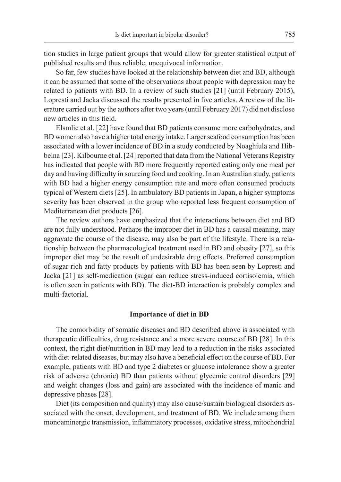tion studies in large patient groups that would allow for greater statistical output of published results and thus reliable, unequivocal information.

So far, few studies have looked at the relationship between diet and BD, although it can be assumed that some of the observations about people with depression may be related to patients with BD. In a review of such studies [21] (until February 2015), Lopresti and Jacka discussed the results presented in five articles. A review of the literature carried out by the authors after two years (until February 2017) did not disclose new articles in this field.

Elsmlie et al. [22] have found that BD patients consume more carbohydrates, and BD women also have a higher total energy intake. Larger seafood consumption has been associated with a lower incidence of BD in a study conducted by Noaghiula and Hibbelna [23]. Kilbourne et al. [24] reported that data from the National Veterans Registry has indicated that people with BD more frequently reported eating only one meal per day and having difficulty in sourcing food and cooking. In an Australian study, patients with BD had a higher energy consumption rate and more often consumed products typical of Western diets [25]. In ambulatory BD patients in Japan, a higher symptoms severity has been observed in the group who reported less frequent consumption of Mediterranean diet products [26].

The review authors have emphasized that the interactions between diet and BD are not fully understood. Perhaps the improper diet in BD has a causal meaning, may aggravate the course of the disease, may also be part of the lifestyle. There is a relationship between the pharmacological treatment used in BD and obesity [27], so this improper diet may be the result of undesirable drug effects. Preferred consumption of sugar-rich and fatty products by patients with BD has been seen by Lopresti and Jacka [21] as self-medication (sugar can reduce stress-induced cortisolemia, which is often seen in patients with BD). The diet-BD interaction is probably complex and multi-factorial.

#### **Importance of diet in BD**

The comorbidity of somatic diseases and BD described above is associated with therapeutic difficulties, drug resistance and a more severe course of BD [28]. In this context, the right diet/nutrition in BD may lead to a reduction in the risks associated with diet-related diseases, but may also have a beneficial effect on the course of BD. For example, patients with BD and type 2 diabetes or glucose intolerance show a greater risk of adverse (chronic) BD than patients without glycemic control disorders [29] and weight changes (loss and gain) are associated with the incidence of manic and depressive phases [28].

Diet (its composition and quality) may also cause/sustain biological disorders associated with the onset, development, and treatment of BD. We include among them monoaminergic transmission, inflammatory processes, oxidative stress, mitochondrial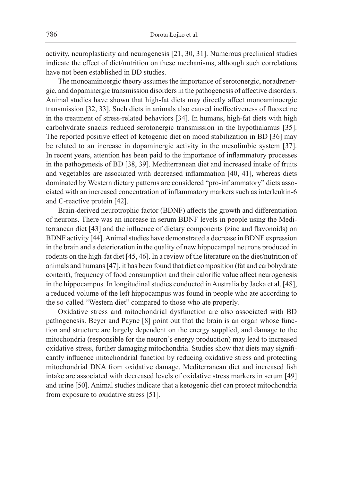activity, neuroplasticity and neurogenesis [21, 30, 31]. Numerous preclinical studies indicate the effect of diet/nutrition on these mechanisms, although such correlations have not been established in BD studies.

The monoaminoergic theory assumes the importance of serotonergic, noradrenergic, and dopaminergic transmission disorders in the pathogenesis of affective disorders. Animal studies have shown that high-fat diets may directly affect monoaminoergic transmission [32, 33]. Such diets in animals also caused ineffectiveness of fluoxetine in the treatment of stress-related behaviors [34]. In humans, high-fat diets with high carbohydrate snacks reduced serotonergic transmission in the hypothalamus [35]. The reported positive effect of ketogenic diet on mood stabilization in BD [36] may be related to an increase in dopaminergic activity in the mesolimbic system [37]. In recent years, attention has been paid to the importance of inflammatory processes in the pathogenesis of BD [38, 39]. Mediterranean diet and increased intake of fruits and vegetables are associated with decreased inflammation [40, 41], whereas diets dominated by Western dietary patterns are considered "pro-inflammatory" diets associated with an increased concentration of inflammatory markers such as interleukin-6 and C-reactive protein [42].

Brain-derived neurotrophic factor (BDNF) affects the growth and differentiation of neurons. There was an increase in serum BDNF levels in people using the Mediterranean diet [43] and the influence of dietary components (zinc and flavonoids) on BDNF activity [44]. Animal studies have demonstrated a decrease in BDNF expression in the brain and a deterioration in the quality of new hippocampal neurons produced in rodents on the high-fat diet [45, 46]. In a review of the literature on the diet/nutrition of animals and humans [47], it has been found that diet composition (fat and carbohydrate content), frequency of food consumption and their calorific value affect neurogenesis in the hippocampus. In longitudinal studies conducted in Australia by Jacka et al. [48], a reduced volume of the left hippocampus was found in people who ate according to the so-called "Western diet" compared to those who ate properly.

Oxidative stress and mitochondrial dysfunction are also associated with BD pathogenesis. Beyer and Payne [8] point out that the brain is an organ whose function and structure are largely dependent on the energy supplied, and damage to the mitochondria (responsible for the neuron's energy production) may lead to increased oxidative stress, further damaging mitochondria. Studies show that diets may significantly influence mitochondrial function by reducing oxidative stress and protecting mitochondrial DNA from oxidative damage. Mediterranean diet and increased fish intake are associated with decreased levels of oxidative stress markers in serum [49] and urine [50]. Animal studies indicate that a ketogenic diet can protect mitochondria from exposure to oxidative stress [51].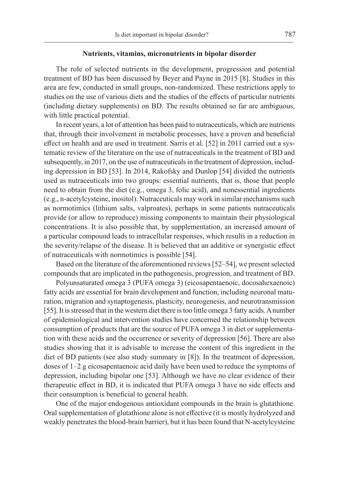## **Nutrients, vitamins, micronutrients in bipolar disorder**

The role of selected nutrients in the development, progression and potential treatment of BD has been discussed by Beyer and Payne in 2015 [8]. Studies in this area are few, conducted in small groups, non-randomized. These restrictions apply to studies on the use of various diets and the studies of the effects of particular nutrients (including dietary supplements) on BD. The results obtained so far are ambiguous, with little practical potential.

In recent years, a lot of attention has been paid to nutraceuticals, which are nutrients that, through their involvement in metabolic processes, have a proven and beneficial effect on health and are used in treatment. Sarris et al. [52] in 2011 carried out a systematic review of the literature on the use of nutraceuticals in the treatment of BD and subsequently, in 2017, on the use of nutraceuticals in the treatment of depression, including depression in BD [53]. In 2014, Rakofsky and Dunlop [54] divided the nutrients used as nutraceuticals into two groups: essential nutrients, that is, those that people need to obtain from the diet (e.g., omega 3, folic acid), and nonessential ingredients (e.g., n-acetylcysteine, inositol). Nutraceuticals may work in similar mechanisms such as normotimics (lithium salts, valproates), perhaps in some patients nutraceuticals provide (or allow to reproduce) missing components to maintain their physiological concentrations. It is also possible that, by supplementation, an increased amount of a particular compound leads to intracellular responses, which results in a reduction in the severity/relapse of the disease. It is believed that an additive or synergistic effect of nutraceuticals with normotimics is possible [54].

Based on the literature of the aforementioned reviews [52–54], we present selected compounds that are implicated in the pathogenesis, progression, and treatment of BD.

Polyunsaturated omega 3 (PUFA omega 3) (eicosapentaenoic, docosahexaenoic) fatty acids are essential for brain development and function, including neuronal maturation, migration and synaptogenesis, plasticity, neurogenesis, and neurotransmission [55]. It is stressed that in the western diet there is too little omega 3 fatty acids. Anumber of epidemiological and intervention studies have concerned the relationship between consumption of products that are the source of PUFA omega 3 in diet or supplementation with these acids and the occurrence or severity of depression [56]. There are also studies showing that it is advisable to increase the content of this ingredient in the diet of BD patients (see also study summary in [8]). In the treatment of depression, doses of 1–2 g eicosapentaenoic acid daily have been used to reduce the symptoms of depression, including bipolar one [53]. Although we have no clear evidence of their therapeutic effect in BD, it is indicated that PUFA omega 3 have no side effects and their consumption is beneficial to general health.

One of the major endogenous antioxidant compounds in the brain is glutathione. Oral supplementation of glutathione alone is not effective (it is mostly hydrolyzed and weakly penetrates the blood-brain barrier), but it has been found that N-acetylcysteine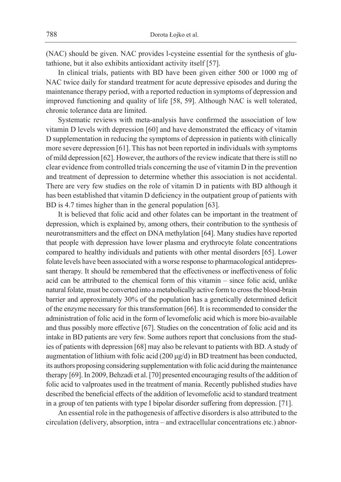(NAC) should be given. NAC provides l-cysteine essential for the synthesis of glutathione, but it also exhibits antioxidant activity itself [57].

In clinical trials, patients with BD have been given either 500 or 1000 mg of NAC twice daily for standard treatment for acute depressive episodes and during the maintenance therapy period, with a reported reduction in symptoms of depression and improved functioning and quality of life [58, 59]. Although NAC is well tolerated, chronic tolerance data are limited.

Systematic reviews with meta-analysis have confirmed the association of low vitamin D levels with depression [60] and have demonstrated the efficacy of vitamin D supplementation in reducing the symptoms of depression in patients with clinically more severe depression [61]. This has not been reported in individuals with symptoms of mild depression [62]. However, the authors of the review indicate that there is still no clear evidence from controlled trials concerning the use of vitamin D in the prevention and treatment of depression to determine whether this association is not accidental. There are very few studies on the role of vitamin D in patients with BD although it has been established that vitamin D deficiency in the outpatient group of patients with BD is 4.7 times higher than in the general population [63].

It is believed that folic acid and other folates can be important in the treatment of depression, which is explained by, among others, their contribution to the synthesis of neurotransmitters and the effect on DNA methylation [64]. Many studies have reported that people with depression have lower plasma and erythrocyte folate concentrations compared to healthy individuals and patients with other mental disorders [65]. Lower folate levels have been associated with a worse response to pharmacological antidepressant therapy. It should be remembered that the effectiveness or ineffectiveness of folic acid can be attributed to the chemical form of this vitamin – since folic acid, unlike natural folate, must be converted into ametabolically active form to cross the blood-brain barrier and approximately 30% of the population has a genetically determined deficit of the enzyme necessary for this transformation [66]. It is recommended to consider the administration of folic acid in the form of levomefolic acid which is more bio-available and thus possibly more effective [67]. Studies on the concentration of folic acid and its intake in BD patients are very few. Some authors report that conclusions from the studies of patients with depression [68] may also be relevant to patients with BD. A study of augmentation of lithium with folic acid (200 μg/d) in BD treatment has been conducted, its authors proposing considering supplementation with folic acid during the maintenance therapy [69]. In 2009, Behzadi et al. [70] presented encouraging results of the addition of folic acid to valproates used in the treatment of mania. Recently published studies have described the beneficial effects of the addition of levomefolic acid to standard treatment in a group of ten patients with type I bipolar disorder suffering from depression. [71].

An essential role in the pathogenesis of affective disorders is also attributed to the circulation (delivery, absorption, intra – and extracellular concentrations etc.) abnor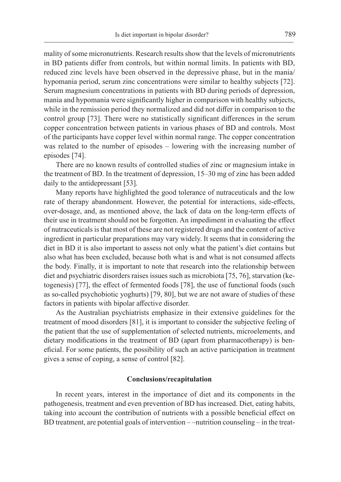mality of some micronutrients. Research results show that the levels of micronutrients in BD patients differ from controls, but within normal limits. In patients with BD, reduced zinc levels have been observed in the depressive phase, but in the mania/ hypomania period, serum zinc concentrations were similar to healthy subjects [72]. Serum magnesium concentrations in patients with BD during periods of depression, mania and hypomania were significantly higher in comparison with healthy subjects, while in the remission period they normalized and did not differ in comparison to the control group [73]. There were no statistically significant differences in the serum copper concentration between patients in various phases of BD and controls. Most of the participants have copper level within normal range. The copper concentration was related to the number of episodes – lowering with the increasing number of episodes [74].

There are no known results of controlled studies of zinc or magnesium intake in the treatment of BD. In the treatment of depression, 15–30 mg of zinc has been added daily to the antidepressant [53].

Many reports have highlighted the good tolerance of nutraceuticals and the low rate of therapy abandonment. However, the potential for interactions, side-effects, over-dosage, and, as mentioned above, the lack of data on the long-term effects of their use in treatment should not be forgotten. An impediment in evaluating the effect of nutraceuticals is that most of these are not registered drugs and the content of active ingredient in particular preparations may vary widely. It seems that in considering the diet in BD it is also important to assess not only what the patient's diet contains but also what has been excluded, because both what is and what is not consumed affects the body. Finally, it is important to note that research into the relationship between diet and psychiatric disorders raises issues such as microbiota [75, 76], starvation (ketogenesis) [77], the effect of fermented foods [78], the use of functional foods (such as so-called psychobiotic yoghurts) [79, 80], but we are not aware of studies of these factors in patients with bipolar affective disorder.

As the Australian psychiatrists emphasize in their extensive guidelines for the treatment of mood disorders [81], it is important to consider the subjective feeling of the patient that the use of supplementation of selected nutrients, microelements, and dietary modifications in the treatment of BD (apart from pharmacotherapy) is beneficial. For some patients, the possibility of such an active participation in treatment gives a sense of coping, a sense of control [82].

## **Conclusions/recapitulation**

In recent years, interest in the importance of diet and its components in the pathogenesis, treatment and even prevention of BD has increased. Diet, eating habits, taking into account the contribution of nutrients with a possible beneficial effect on BD treatment, are potential goals of intervention – –nutrition counseling – in the treat-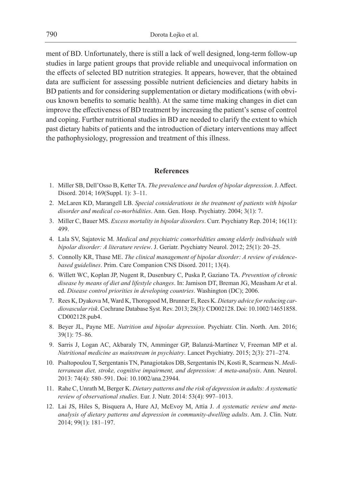ment of BD. Unfortunately, there is still a lack of well designed, long-term follow-up studies in large patient groups that provide reliable and unequivocal information on the effects of selected BD nutrition strategies. It appears, however, that the obtained data are sufficient for assessing possible nutrient deficiencies and dietary habits in BD patients and for considering supplementation or dietary modifications (with obvious known benefits to somatic health). At the same time making changes in diet can improve the effectiveness of BD treatment by increasing the patient's sense of control and coping. Further nutritional studies in BD are needed to clarify the extent to which past dietary habits of patients and the introduction of dietary interventions may affect the pathophysiology, progression and treatment of this illness.

## **References**

- 1. Miller SB, Dell'Osso B, Ketter TA. *The prevalence and burden of bipolar depression*. J. Affect. Disord. 2014; 169(Suppl. 1): 3–11.
- 2. McLaren KD, Marangell LB. *Special considerations in the treatment of patients with bipolar disorder and medical co-morbidities*. Ann. Gen. Hosp. Psychiatry. 2004; 3(1): 7.
- 3. Miller C, Bauer MS. *Excess mortality in bipolar disorders*. Curr. Psychiatry Rep. 2014; 16(11): 499.
- 4. Lala SV, Sajatovic M. *Medical and psychiatric comorbidities among elderly individuals with bipolar disorder: A literature review*. J. Geriatr. Psychiatry Neurol. 2012; 25(1): 20–25.
- 5. Connolly KR, Thase ME. *The clinical management of bipolar disorder: A review of evidencebased guidelines*. Prim. Care Companion CNS Disord. 2011; 13(4).
- 6. Willett WC, Koplan JP, Nugent R, Dusenbury C, Puska P, Gaziano TA. *Prevention of chronic disease by means of diet and lifestyle changes*. In: Jamison DT, Breman JG, Measham Ar et al. ed. *Disease control priorities in developing countries*. Washington (DC); 2006.
- 7. Rees K, Dyakova M, Ward K, Thorogood M, Brunner E, Rees K. *Dietary advice for reducing cardiovascular risk*. Cochrane Database Syst. Rev. 2013; 28(3): CD002128. Doi: 10.1002/14651858. CD002128.pub4.
- 8. Beyer JL, Payne ME. *Nutrition and bipolar depression*. Psychiatr. Clin. North. Am. 2016; 39(1): 75–86.
- 9. Sarris J, Logan AC, Akbaraly TN, Amminger GP, Balanzá-Martínez V, Freeman MP et al. *Nutritional medicine as mainstream in psychiatry*. Lancet Psychiatry. 2015; 2(3): 271–274.
- 10. Psaltopoulou T, Sergentanis TN, Panagiotakos DB, Sergentanis IN, Kosti R, Scarmeas N. *Mediterranean diet, stroke, cognitive impairment, and depression: A meta-analysis*. Ann. Neurol. 2013: 74(4): 580–591. Doi: 10.1002/ana.23944.
- 11. Rahe C, Unrath M, Berger K. *Dietary patterns and the risk of depression in adults: A systematic review of observational studies*. Eur. J. Nutr. 2014: 53(4): 997–1013.
- 12. Lai JS, Hiles S, Bisquera A, Hure AJ, McEvoy M, Attia J. *A systematic review and metaanalysis of dietary patterns and depression in community-dwelling adults*. Am. J. Clin. Nutr. 2014; 99(1): 181–197.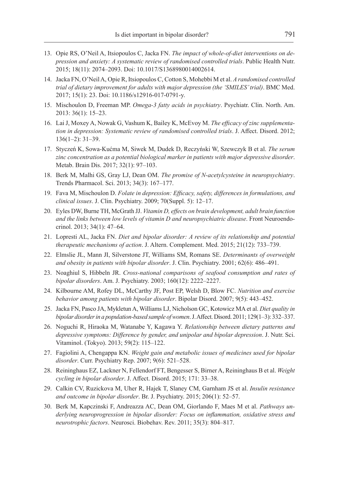- 13. Opie RS, O'Neil A, Itsiopoulos C, Jacka FN. *The impact of whole-of-diet interventions on depression and anxiety: A systematic review of randomised controlled trials*. Public Health Nutr. 2015; 18(11): 2074–2093. Doi: 10.1017/S1368980014002614.
- 14. Jacka FN, O'Neil A, Opie R, Itsiopoulos C, Cotton S, Mohebbi M et al. *A randomised controlled trial of dietary improvement for adults with major depression (the 'SMILES' trial)*. BMC Med. 2017; 15(1): 23. Doi: 10.1186/s12916-017-0791-y.
- 15. Mischoulon D, Freeman MP. *Omega-3 fatty acids in psychiatry*. Psychiatr. Clin. North. Am. 2013: 36(1): 15–23.
- 16. Lai J, Moxey A, Nowak G, Vashum K, Bailey K, McEvoy M. *The efficacy of zinc supplementation in depression: Systematic review of randomised controlled trials*. J. Affect. Disord. 2012; 136(1–2): 31–39.
- 17. Styczeń K, Sowa-Kućma M, Siwek M, Dudek D, Reczyński W, Szewczyk B et al. *The serum zinc concentration as a potential biological marker in patients with major depressive disorder*. Metab. Brain Dis. 2017; 32(1): 97–103.
- 18. Berk M, Malhi GS, Gray LJ, Dean OM. *The promise of N-acetylcysteine in neuropsychiatry*. Trends Pharmacol. Sci. 2013; 34(3): 167–177.
- 19. Fava M, Mischoulon D. *Folate in depression: Efficacy, safety, differences in formulations, and clinical issues*. J. Clin. Psychiatry. 2009; 70(Suppl. 5): 12–17.
- 20. Eyles DW, Burne TH, McGrath JJ. *Vitamin D, effects on brain development, adult brain function and the links between low levels of vitamin D and neuropsychiatric disease*. Front Neuroendocrinol. 2013; 34(1): 47–64.
- 21. Lopresti AL, Jacka FN. *Diet and bipolar disorder: A review of its relationship and potential therapeutic mechanisms of action*. J. Altern. Complement. Med. 2015; 21(12): 733–739.
- 22. Elmslie JL, Mann JI, Silverstone JT, Williams SM, Romans SE. *Determinants of overweight and obesity in patients with bipolar disorder*. J. Clin. Psychiatry. 2001; 62(6): 486–491.
- 23. Noaghiul S, Hibbeln JR. *Cross-national comparisons of seafood consumption and rates of bipolar disorders*. Am. J. Psychiatry. 2003; 160(12): 2222–2227.
- 24. Kilbourne AM, Rofey DL, McCarthy JF, Post EP, Welsh D, Blow FC. *Nutrition and exercise behavior among patients with bipolar disorder*. Bipolar Disord. 2007; 9(5): 443–452.
- 25. Jacka FN, Pasco JA, Mykletun A, Williams LJ, Nicholson GC, Kotowicz MA et al. *Diet quality in bipolar disorder in a population-based sample of women*. J. Affect. Disord. 2011; 129(1–3): 332–337.
- 26. Noguchi R, Hiraoka M, Watanabe Y, Kagawa Y. *Relationship between dietary patterns and depressive symptoms: Difference by gender, and unipolar and bipolar depression*. J. Nutr. Sci. Vitaminol. (Tokyo). 2013; 59(2): 115–122.
- 27. Fagiolini A, Chengappa KN. *Weight gain and metabolic issues of medicines used for bipolar disorder*. Curr. Psychiatry Rep. 2007; 9(6): 521–528.
- 28. Reininghaus EZ, Lackner N, Fellendorf FT, Bengesser S, Birner A, Reininghaus B et al. *Weight cycling in bipolar disorder*. J. Affect. Disord. 2015; 171: 33–38.
- 29. Calkin CV, Ruzickova M, Uher R, Hajek T, Slaney CM, Garnham JS et al. *Insulin resistance and outcome in bipolar disorder*. Br. J. Psychiatry. 2015; 206(1): 52–57.
- 30. Berk M, Kapczinski F, Andreazza AC, Dean OM, Giorlando F, Maes M et al. *Pathways underlying neuroprogression in bipolar disorder: Focus on inflammation, oxidative stress and neurotrophic factors*. Neurosci. Biobehav. Rev. 2011; 35(3): 804–817.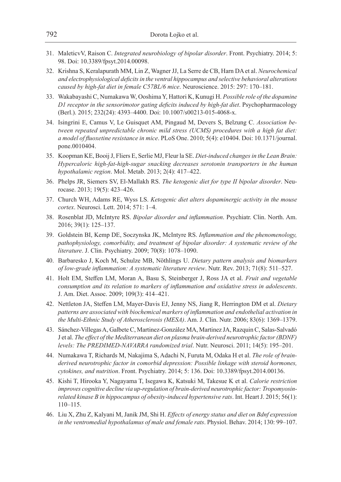- 31. MaleticvV, Raison C. *Integrated neurobiology of bipolar disorder*. Front. Psychiatry. 2014; 5: 98. Doi: 10.3389/fpsyt.2014.00098.
- 32. Krishna S, Keralapurath MM, Lin Z, Wagner JJ, La Serre de CB, Harn DA et al. *Neurochemical and electrophysiological deficits in the ventral hippocampus and selective behavioral alterations caused by high-fat diet in female C57BL/6 mice*. Neuroscience. 2015: 297: 170–181.
- 33. Wakabayashi C, Numakawa W, Ooshima Y, Hattori K, Kunugi H. *Possible role of the dopamine D1 receptor in the sensorimotor gating deficits induced by high-fat diet*. Psychopharmacology (Berl.). 2015; 232(24): 4393–4400. Doi: 10.1007/s00213-015-4068-x.
- 34. Isingrini E, Camus V, Le Guisquet AM, Pingaud M, Devers S, Belzung C. *Association between repeated unpredictable chronic mild stress (UCMS) procedures with a high fat diet: a model of fluoxetine resistance in mice*. PLoS One. 2010; 5(4): e10404. Doi: 10.1371/journal. pone.0010404.
- 35. Koopman KE, Booij J, Fliers E, Serlie MJ, Fleur la SE. *Diet-induced changes in the Lean Brain: Hypercaloric high-fat-high-sugar snacking decreases serotonin transporters in the human hypothalamic region*. Mol. Metab. 2013; 2(4): 417–422.
- 36. Phelps JR, Siemers SV, El-Mallakh RS. *The ketogenic diet for type II bipolar disorder*. Neurocase. 2013; 19(5): 423–426.
- 37. Church WH, Adams RE, Wyss LS. *Ketogenic diet alters dopaminergic activity in the mouse cortex*. Neurosci. Lett. 2014; 571: 1–4.
- 38. Rosenblat JD, McIntyre RS. *Bipolar disorder and inflammation*. Psychiatr. Clin. North. Am. 2016; 39(1): 125–137.
- 39. Goldstein BI, Kemp DE, Soczynska JK, McIntyre RS. *Inflammation and the phenomenology, pathophysiology, comorbidity, and treatment of bipolar disorder: A systematic review of the literature*. J. Clin. Psychiatry. 2009; 70(8): 1078–1090.
- 40. Barbaresko J, Koch M, Schulze MB, Nöthlings U. *Dietary pattern analysis and biomarkers of low-grade inflammation: A systematic literature review*. Nutr. Rev. 2013; 71(8): 511–527.
- 41. Holt EM, Steffen LM, Moran A, Basu S, Steinberger J, Ross JA et al. *Fruit and vegetable consumption and its relation to markers of inflammation and oxidative stress in adolescents*. J. Am. Diet. Assoc. 2009; 109(3): 414–421.
- 42. Nettleton JA, Steffen LM, Mayer-Davis EJ, Jenny NS, Jiang R, Herrington DM et al. *Dietary patterns are associated with biochemical markers of inflammation and endothelial activation in the Multi-Ethnic Study of Atherosclerosis (MESA)*. Am. J. Clin. Nutr. 2006; 83(6): 1369–1379.
- 43. Sánchez-Villegas A, Galbete C, Martinez-González MA, Martinez JA, Razquin C, Salas-Salvadó J et al. *The effect of the Mediterranean diet on plasma brain-derived neurotrophic factor (BDNF) levels: The PREDIMED-NAVARRA randomized trial*. Nutr. Neurosci. 2011; 14(5): 195–201.
- 44. Numakawa T, Richards M, Nakajima S, Adachi N, Furuta M, Odaka H et al. *The role of brainderived neurotrophic factor in comorbid depression: Possible linkage with steroid hormones, cytokines, and nutrition*. Front. Psychiatry. 2014; 5: 136. Doi: 10.3389/fpsyt.2014.00136.
- 45. Kishi T, Hirooka Y, Nagayama T, Isegawa K, Katsuki M, Takesue K et al. *Calorie restriction improves cognitive decline via up-regulation of brain-derived neurotrophic factor: Tropomyosinrelated kinase B in hippocampus of obesity-induced hypertensive rats*. Int. Heart J. 2015; 56(1): 110–115.
- 46. Liu X, Zhu Z, Kalyani M, Janik JM, Shi H. *Effects of energy status and diet on Bdnf expression in the ventromedial hypothalamus of male and female rats*. Physiol. Behav. 2014; 130: 99–107.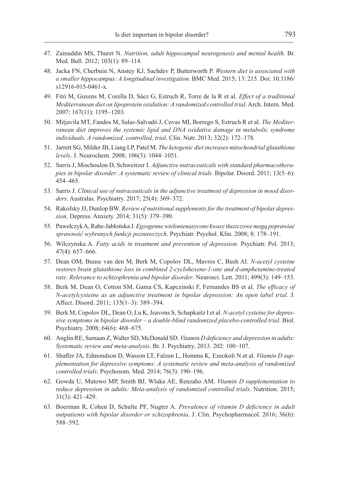- 47. Zainuddin MS, Thuret N. *Nutrition, adult hippocampal neurogenesis and mental health*. Br. Med. Bull. 2012; 103(1): 89–114.
- 48. Jacka FN, Cherbuin N, Anstey KJ, Sachdev P, Butterworth P. *Western diet is associated with a smaller hippocampus: A longitudinal investigation*. BMC Med. 2015; 13: 215. Doi: 10.1186/ s12916-015-0461-x.
- 49. Fitó M, Guxens M, Corella D, Sáez G, Estruch R, Torre de la R et al. *Effect of a traditional Mediterranean diet on lipoprotein oxidation: A randomized controlled trial*. Arch. Intern. Med. 2007; 167(11): 1195–1203.
- 50. Mitjavila MT, Fandos M, Salas-Salvadó J, Covas MI, Borrego S, Estruch R et al. *The Mediterranean diet improves the systemic lipid and DNA oxidative damage in metabolic syndrome individuals. A randomized, controlled, trial*. Clin. Nutr. 2013; 32(2): 172–178.
- 51. Jarrett SG, Milder JB, Liang LP, Patel M. *The ketogenic diet increases mitochondrial glutathione levels*. J. Neurochem. 2008; 106(3): 1044–1051.
- 52. Sarris J, Mischoulon D, Schweitzer I. *Adjunctive nutraceuticals with standard pharmacotherapies in bipolar disorder: A systematic review of clinical trials*. Bipolar. Disord. 2011; 13(5–6): 454–465.
- 53. Sarris J. *Clinical use of nutraceuticals in the adjunctive treatment of depression in mood disorders*. Australas. Psychiatry. 2017; 25(4): 369–372.
- 54. Rakofsky JJ, Dunlop BW. *Review of nutritional supplements for the treatment of bipolar depression*. Depress. Anxiety. 2014; 31(5): 379–390.
- 55. Pawełczyk A, Rabe-Jabłońska J. *Egzogenne wielonienasycone kwasy tłuszczowe mogą poprawiać sprawność wybranych funkcji poznawczych*. Psychiatr. Psychol. Klin. 2008; 8: 178–191.
- 56. Wilczynska A. *Fatty acids in treatment and prevention of depression*. Psychiatr. Pol. 2013; 47(4): 657–666.
- 57. Dean OM, Buuse van den M, Berk M, Copolov DL, Mavros C, Bush AI. *N-acetyl cysteine restores brain glutathione loss in combined 2-cyclohexene-1-one and d-amphetamine-treated rats: Relevance to schizophrenia and bipolar disorder*. Neurosci. Lett. 2011; 499(3): 149–153.
- 58. Berk M, Dean O, Cotton SM, Gama CS, Kapczinski F, Fernandes BS et al. *The efficacy of N-acetylcysteine as an adjunctive treatment in bipolar depression: An open label trial*. J. Affect. Disord. 2011; 135(1–3): 389–394.
- 59. Berk M, Copolov DL, Dean O, Lu K, Jeavons S, Schapkaitz I et al. *N-acetyl cysteine for depressive symptoms in bipolar disorder – a double-blind randomized placebo-controlled trial*. Biol. Psychiatry. 2008; 64(6): 468–675.
- 60. Anglin RE, Samaan Z, Walter SD, McDonald SD. *Vitamin D deficiency and depression in adults: Systematic review and meta-analysis*. Br. J. Psychiatry. 2013. 202: 100–107.
- 61. Shaffer JA, Edmondson D, Wasson LT, Falzon L, Homma K, Ezeokoli N et al. *Vitamin D supplementation for depressive symptoms: A systematic review and meta-analysis of randomized controlled trials*. Psychosom. Med. 2014; 76(3): 190–196.
- 62. Gowda U, Mutowo MP, Smith BJ, Wluka AE, Renzaho AM. *Vitamin D supplementation to reduce depression in adults: Meta-analysis of randomized controlled trials*. Nutrition. 2015; 31(3): 421–429.
- 63. Boerman R, Cohen D, Schulte PF, Nugter A. *Prevalence of vitamin D deficiency in adult outpatients with bipolar disorder or schizophrenia*. J. Clin. Psychopharmacol. 2016; 36(6): 588–592.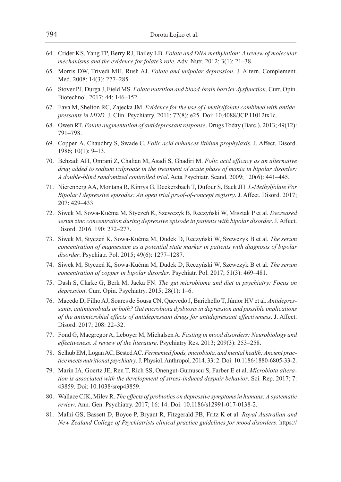- 64. Crider KS, Yang TP, Berry RJ, Bailey LB. *Folate and DNA methylation: A review of molecular mechanisms and the evidence for folate's role*. Adv. Nutr. 2012; 3(1): 21–38.
- 65. Morris DW, Trivedi MH, Rush AJ. *Folate and unipolar depression*. J. Altern. Complement. Med. 2008; 14(3): 277–285.
- 66. Stover PJ, Durga J, Field MS. *Folate nutrition and blood-brain barrier dysfunction*. Curr. Opin. Biotechnol. 2017; 44: 146–152.
- 67. Fava M, Shelton RC, Zajecka JM. *Evidence for the use of l-methylfolate combined with antidepressants in MDD*. J. Clin. Psychiatry. 2011; 72(8): e25. Doi: 10.4088/JCP.11012tx1c.
- 68. Owen RT. *Folate augmentation of antidepressant response*. Drugs Today (Barc.). 2013; 49(12): 791–798.
- 69. Coppen A, Chaudhry S, Swade C. *Folic acid enhances lithium prophylaxis*. J. Affect. Disord. 1986; 10(1): 9–13.
- 70. Behzadi AH, Omrani Z, Chalian M, Asadi S, Ghadiri M. *Folic acid efficacy as an alternative drug added to sodium valproate in the treatment of acute phase of mania in bipolar disorder: A double-blind randomized controlled trial*. Acta Psychiatr. Scand. 2009; 120(6): 441–445.
- 71. Nierenberg AA, Montana R, Kinrys G, Deckersbach T, Dufour S, Baek JH. *L-Methylfolate For Bipolar I depressive episodes: An open trial proof-of-concept registry*. J. Affect. Disord. 2017; 207: 429–433.
- 72. Siwek M, Sowa-Kućma M, Styczeń K, Szewczyk B, Reczyński W, Misztak P et al. *Decreased serum zinc concentration during depressive episode in patients with bipolar disorder*. J. Affect. Disord. 2016. 190: 272–277.
- 73. Siwek M, Styczeń K, Sowa-Kućma M, Dudek D, Reczyński W, Szewczyk B et al. *The serum concentration of magnesium as a potential state marker in patients with diagnosis of bipolar disorder*. Psychiatr. Pol. 2015; 49(6): 1277–1287.
- 74. Siwek M, Styczeń K, Sowa-Kućma M, Dudek D, Reczyński W, Szewczyk B et al. *The serum concentration of copper in bipolar disorder*. Psychiatr. Pol. 2017; 51(3): 469–481.
- 75. Dash S, Clarke G, Berk M, Jacka FN. *The gut microbiome and diet in psychiatry: Focus on depression*. Curr. Opin. Psychiatry. 2015; 28(1): 1–6.
- 76. Macedo D, Filho AJ, Soares de Sousa CN, Quevedo J, Barichello T, Júnior HV et al. *Antidepressants, antimicrobials or both? Gut microbiota dysbiosis in depression and possible implications of the antimicrobial effects of antidepressant drugs for antidepressant effectiveness*. J. Affect. Disord. 2017; 208: 22–32.
- 77. Fond G, Macgregor A, Leboyer M, Michalsen A. *Fasting in mood disorders: Neurobiology and effectiveness. A review of the literature*. Psychiatry Res. 2013; 209(3): 253–258.
- 78. Selhub EM, Logan AC, Bested AC. *Fermented foods, microbiota, and mental health: Ancient practice meets nutritional psychiatry*. J. Physiol. Anthropol. 2014. 33: 2. Doi: 10.1186/1880-6805-33-2.
- 79. Marin IA, Goertz JE, Ren T, Rich SS, Onengut-Gumuscu S, Farber E et al. *Microbiota alteration is associated with the development of stress-induced despair behavior*. Sci. Rep. 2017; 7: 43859. Doi: 10.1038/srep43859.
- 80. Wallace CJK, Milev R. *The effects of probiotics on depressive symptoms in humans: A systematic review*. Ann. Gen. Psychiatry. 2017; 16: 14. Doi: 10.1186/s12991-017-0138-2.
- 81. Malhi GS, Bassett D, Boyce P, Bryant R, Fitzgerald PB, Fritz K et al. *Royal Australian and New Zealand College of Psychiatrists clinical practice guidelines for mood disorders*. https://